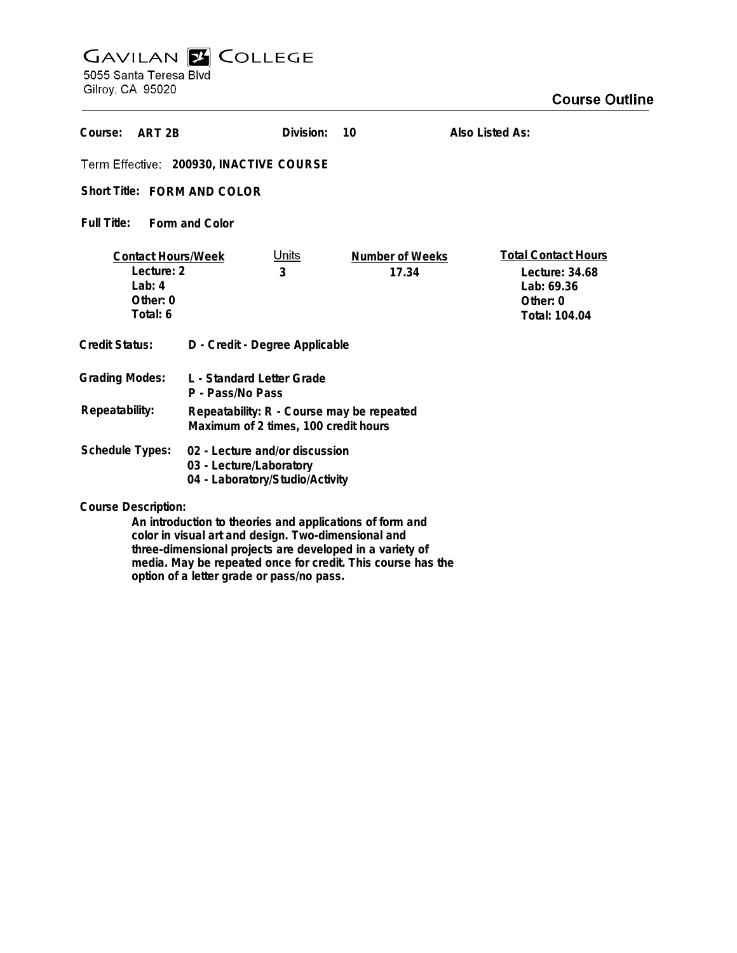# **GAVILAN E COLLEGE**

5055 Santa Teresa Blvd Gilroy, CA 95020

| Course:<br>ART <sub>2B</sub>                                                |                                                                                              | Division:         | 10                       | Also Listed As:                                                                         |
|-----------------------------------------------------------------------------|----------------------------------------------------------------------------------------------|-------------------|--------------------------|-----------------------------------------------------------------------------------------|
| Term Effective: 200930, INACTIVE COURSE                                     |                                                                                              |                   |                          |                                                                                         |
| Short Title: FORM AND COLOR                                                 |                                                                                              |                   |                          |                                                                                         |
| Full Title:<br>Form and Color                                               |                                                                                              |                   |                          |                                                                                         |
| <b>Contact Hours/Week</b><br>Lecture: 2<br>Lab: $4$<br>Other: 0<br>Total: 6 |                                                                                              | <u>Units</u><br>3 | Number of Weeks<br>17.34 | <b>Total Contact Hours</b><br>Lecture: 34.68<br>Lab: 69.36<br>Other: 0<br>Total: 104.04 |
| <b>Credit Status:</b>                                                       | D - Credit - Degree Applicable                                                               |                   |                          |                                                                                         |
| <b>Grading Modes:</b>                                                       | L - Standard Letter Grade<br>P - Pass/No Pass                                                |                   |                          |                                                                                         |
| Repeatability:                                                              | Repeatability: R - Course may be repeated<br>Maximum of 2 times, 100 credit hours            |                   |                          |                                                                                         |
| <b>Schedule Types:</b>                                                      | 02 - Lecture and/or discussion<br>03 - Lecture/Laboratory<br>04 - Laboratory/Studio/Activity |                   |                          |                                                                                         |
| Course Description.                                                         |                                                                                              |                   |                          |                                                                                         |

**Course Description:**

**An introduction to theories and applications of form and color in visual art and design. Two-dimensional and three-dimensional projects are developed in a variety of media. May be repeated once for credit. This course has the option of a letter grade or pass/no pass.**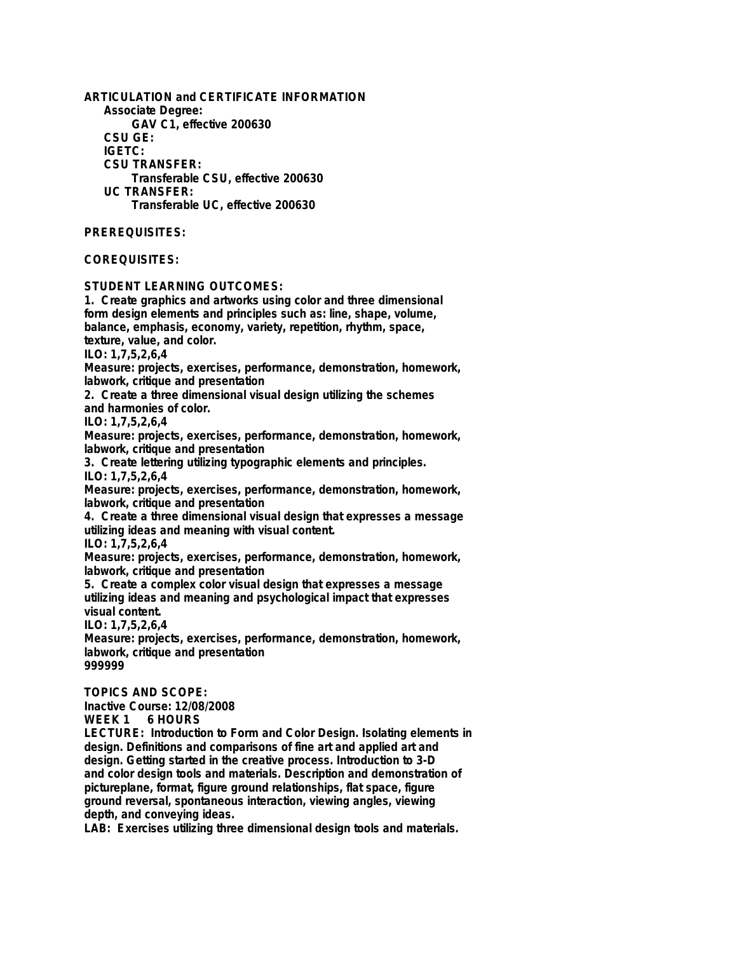**ARTICULATION and CERTIFICATE INFORMATION Associate Degree: GAV C1, effective 200630 CSU GE: IGETC: CSU TRANSFER: Transferable CSU, effective 200630 UC TRANSFER: Transferable UC, effective 200630 PREREQUISITES: COREQUISITES: STUDENT LEARNING OUTCOMES: 1. Create graphics and artworks using color and three dimensional form design elements and principles such as: line, shape, volume, balance, emphasis, economy, variety, repetition, rhythm, space, texture, value, and color. ILO: 1,7,5,2,6,4 Measure: projects, exercises, performance, demonstration, homework, labwork, critique and presentation 2. Create a three dimensional visual design utilizing the schemes and harmonies of color. ILO: 1,7,5,2,6,4 Measure: projects, exercises, performance, demonstration, homework, labwork, critique and presentation 3. Create lettering utilizing typographic elements and principles. ILO: 1,7,5,2,6,4 Measure: projects, exercises, performance, demonstration, homework, labwork, critique and presentation 4. Create a three dimensional visual design that expresses a message utilizing ideas and meaning with visual content. ILO: 1,7,5,2,6,4 Measure: projects, exercises, performance, demonstration, homework, labwork, critique and presentation 5. Create a complex color visual design that expresses a message utilizing ideas and meaning and psychological impact that expresses visual content. ILO: 1,7,5,2,6,4 Measure: projects, exercises, performance, demonstration, homework, labwork, critique and presentation 999999 TOPICS AND SCOPE: Inactive Course: 12/08/2008**  $6$  HOURS **LECTURE: Introduction to Form and Color Design. Isolating elements in design. Definitions and comparisons of fine art and applied art and design. Getting started in the creative process. Introduction to 3-D and color design tools and materials. Description and demonstration of pictureplane, format, figure ground relationships, flat space, figure**

**ground reversal, spontaneous interaction, viewing angles, viewing depth, and conveying ideas.**

**LAB: Exercises utilizing three dimensional design tools and materials.**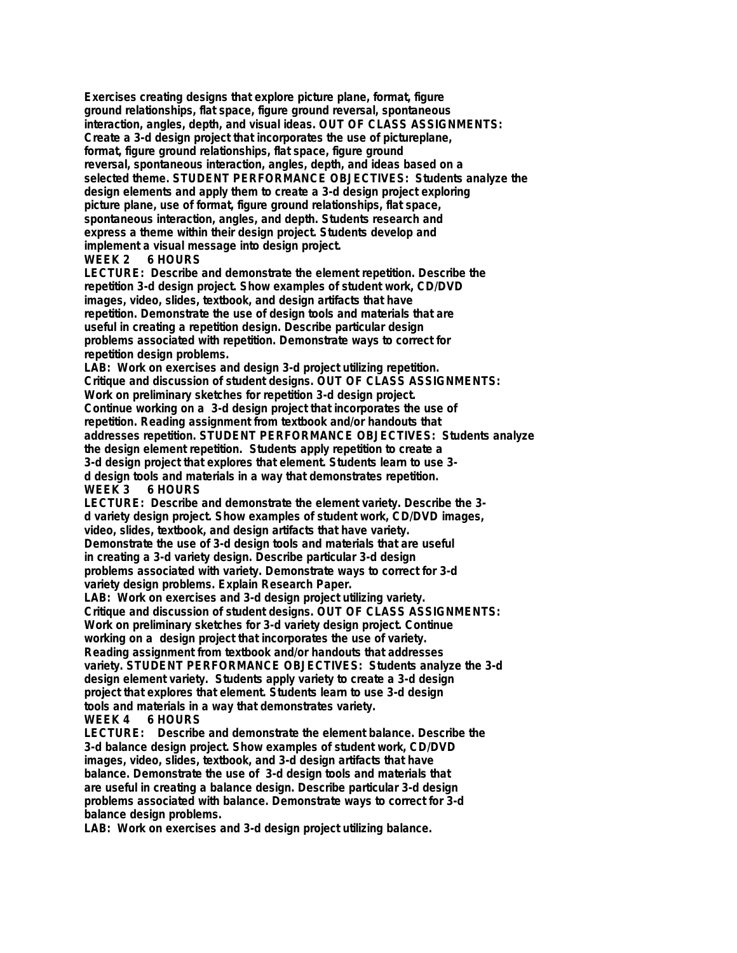**Exercises creating designs that explore picture plane, format, figure ground relationships, flat space, figure ground reversal, spontaneous interaction, angles, depth, and visual ideas. OUT OF CLASS ASSIGNMENTS: Create a 3-d design project that incorporates the use of pictureplane, format, figure ground relationships, flat space, figure ground reversal, spontaneous interaction, angles, depth, and ideas based on a selected theme. STUDENT PERFORMANCE OBJECTIVES: Students analyze the design elements and apply them to create a 3-d design project exploring picture plane, use of format, figure ground relationships, flat space, spontaneous interaction, angles, and depth. Students research and express a theme within their design project. Students develop and implement a visual message into design project.**

#### **WEEK 2 6 HOURS**

**LECTURE: Describe and demonstrate the element repetition. Describe the repetition 3-d design project. Show examples of student work, CD/DVD images, video, slides, textbook, and design artifacts that have repetition. Demonstrate the use of design tools and materials that are useful in creating a repetition design. Describe particular design problems associated with repetition. Demonstrate ways to correct for repetition design problems.**

**LAB: Work on exercises and design 3-d project utilizing repetition. Critique and discussion of student designs. OUT OF CLASS ASSIGNMENTS: Work on preliminary sketches for repetition 3-d design project. Continue working on a 3-d design project that incorporates the use of repetition. Reading assignment from textbook and/or handouts that addresses repetition. STUDENT PERFORMANCE OBJECTIVES: Students analyze the design element repetition. Students apply repetition to create a 3-d design project that explores that element. Students learn to use 3 d design tools and materials in a way that demonstrates repetition. 6 HOURS** 

**LECTURE: Describe and demonstrate the element variety. Describe the 3 d variety design project. Show examples of student work, CD/DVD images, video, slides, textbook, and design artifacts that have variety. Demonstrate the use of 3-d design tools and materials that are useful in creating a 3-d variety design. Describe particular 3-d design problems associated with variety. Demonstrate ways to correct for 3-d variety design problems. Explain Research Paper.**

**LAB: Work on exercises and 3-d design project utilizing variety. Critique and discussion of student designs. OUT OF CLASS ASSIGNMENTS: Work on preliminary sketches for 3-d variety design project. Continue working on a design project that incorporates the use of variety. Reading assignment from textbook and/or handouts that addresses variety. STUDENT PERFORMANCE OBJECTIVES: Students analyze the 3-d design element variety. Students apply variety to create a 3-d design project that explores that element. Students learn to use 3-d design tools and materials in a way that demonstrates variety. WEEK 4 6 HOURS**

**LECTURE: Describe and demonstrate the element balance. Describe the 3-d balance design project. Show examples of student work, CD/DVD images, video, slides, textbook, and 3-d design artifacts that have balance. Demonstrate the use of 3-d design tools and materials that are useful in creating a balance design. Describe particular 3-d design problems associated with balance. Demonstrate ways to correct for 3-d balance design problems.**

**LAB: Work on exercises and 3-d design project utilizing balance.**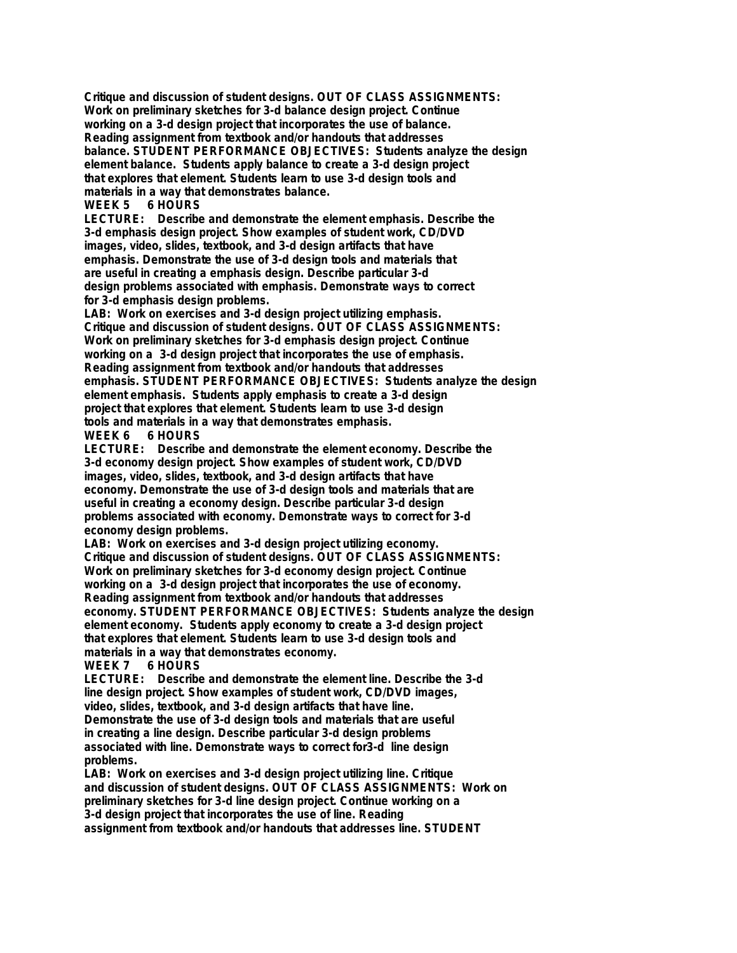**Critique and discussion of student designs. OUT OF CLASS ASSIGNMENTS: Work on preliminary sketches for 3-d balance design project. Continue working on a 3-d design project that incorporates the use of balance. Reading assignment from textbook and/or handouts that addresses balance. STUDENT PERFORMANCE OBJECTIVES: Students analyze the design element balance. Students apply balance to create a 3-d design project that explores that element. Students learn to use 3-d design tools and materials in a way that demonstrates balance.**

# **WEEK 5 6 HOURS**

**LECTURE: Describe and demonstrate the element emphasis. Describe the 3-d emphasis design project. Show examples of student work, CD/DVD images, video, slides, textbook, and 3-d design artifacts that have emphasis. Demonstrate the use of 3-d design tools and materials that are useful in creating a emphasis design. Describe particular 3-d design problems associated with emphasis. Demonstrate ways to correct for 3-d emphasis design problems.**

**LAB: Work on exercises and 3-d design project utilizing emphasis. Critique and discussion of student designs. OUT OF CLASS ASSIGNMENTS: Work on preliminary sketches for 3-d emphasis design project. Continue working on a 3-d design project that incorporates the use of emphasis. Reading assignment from textbook and/or handouts that addresses emphasis. STUDENT PERFORMANCE OBJECTIVES: Students analyze the design element emphasis. Students apply emphasis to create a 3-d design project that explores that element. Students learn to use 3-d design tools and materials in a way that demonstrates emphasis. 6 HOURS** 

**LECTURE: Describe and demonstrate the element economy. Describe the 3-d economy design project. Show examples of student work, CD/DVD images, video, slides, textbook, and 3-d design artifacts that have economy. Demonstrate the use of 3-d design tools and materials that are useful in creating a economy design. Describe particular 3-d design problems associated with economy. Demonstrate ways to correct for 3-d economy design problems.**

**LAB: Work on exercises and 3-d design project utilizing economy. Critique and discussion of student designs. OUT OF CLASS ASSIGNMENTS: Work on preliminary sketches for 3-d economy design project. Continue working on a 3-d design project that incorporates the use of economy. Reading assignment from textbook and/or handouts that addresses economy. STUDENT PERFORMANCE OBJECTIVES: Students analyze the design element economy. Students apply economy to create a 3-d design project that explores that element. Students learn to use 3-d design tools and materials in a way that demonstrates economy.**

# **6 HOURS**

**LECTURE: Describe and demonstrate the element line. Describe the 3-d line design project. Show examples of student work, CD/DVD images, video, slides, textbook, and 3-d design artifacts that have line. Demonstrate the use of 3-d design tools and materials that are useful in creating a line design. Describe particular 3-d design problems associated with line. Demonstrate ways to correct for3-d line design problems.**

**LAB: Work on exercises and 3-d design project utilizing line. Critique and discussion of student designs. OUT OF CLASS ASSIGNMENTS: Work on preliminary sketches for 3-d line design project. Continue working on a 3-d design project that incorporates the use of line. Reading assignment from textbook and/or handouts that addresses line. STUDENT**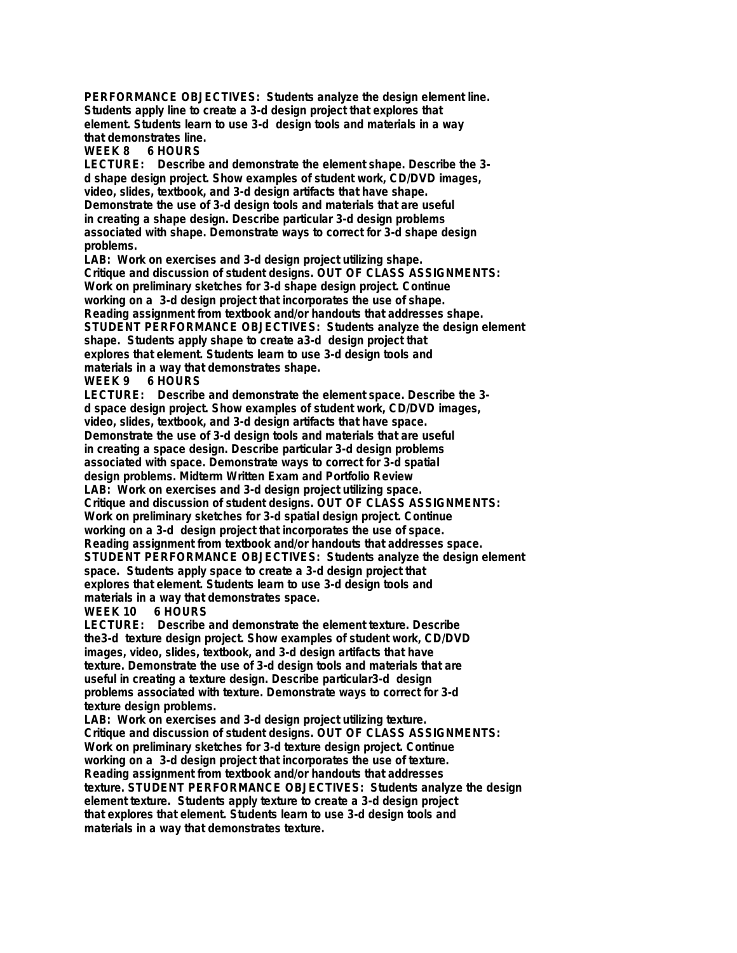**PERFORMANCE OBJECTIVES: Students analyze the design element line. Students apply line to create a 3-d design project that explores that element. Students learn to use 3-d design tools and materials in a way that demonstrates line.**

**6 HOURS** 

**LECTURE: Describe and demonstrate the element shape. Describe the 3 d shape design project. Show examples of student work, CD/DVD images, video, slides, textbook, and 3-d design artifacts that have shape. Demonstrate the use of 3-d design tools and materials that are useful in creating a shape design. Describe particular 3-d design problems associated with shape. Demonstrate ways to correct for 3-d shape design problems.**

**LAB: Work on exercises and 3-d design project utilizing shape. Critique and discussion of student designs. OUT OF CLASS ASSIGNMENTS: Work on preliminary sketches for 3-d shape design project. Continue working on a 3-d design project that incorporates the use of shape. Reading assignment from textbook and/or handouts that addresses shape. STUDENT PERFORMANCE OBJECTIVES: Students analyze the design element shape. Students apply shape to create a3-d design project that explores that element. Students learn to use 3-d design tools and materials in a way that demonstrates shape.**

# **WEEK 9 6 HOURS**

**LECTURE: Describe and demonstrate the element space. Describe the 3 d space design project. Show examples of student work, CD/DVD images, video, slides, textbook, and 3-d design artifacts that have space. Demonstrate the use of 3-d design tools and materials that are useful in creating a space design. Describe particular 3-d design problems associated with space. Demonstrate ways to correct for 3-d spatial design problems. Midterm Written Exam and Portfolio Review LAB: Work on exercises and 3-d design project utilizing space. Critique and discussion of student designs. OUT OF CLASS ASSIGNMENTS: Work on preliminary sketches for 3-d spatial design project. Continue working on a 3-d design project that incorporates the use of space. Reading assignment from textbook and/or handouts that addresses space. STUDENT PERFORMANCE OBJECTIVES: Students analyze the design element space. Students apply space to create a 3-d design project that explores that element. Students learn to use 3-d design tools and materials in a way that demonstrates space.**

# **WEEK 10 6 HOURS**

**LECTURE: Describe and demonstrate the element texture. Describe the3-d texture design project. Show examples of student work, CD/DVD images, video, slides, textbook, and 3-d design artifacts that have texture. Demonstrate the use of 3-d design tools and materials that are useful in creating a texture design. Describe particular3-d design problems associated with texture. Demonstrate ways to correct for 3-d texture design problems.**

**LAB: Work on exercises and 3-d design project utilizing texture. Critique and discussion of student designs. OUT OF CLASS ASSIGNMENTS: Work on preliminary sketches for 3-d texture design project. Continue working on a 3-d design project that incorporates the use of texture. Reading assignment from textbook and/or handouts that addresses texture. STUDENT PERFORMANCE OBJECTIVES: Students analyze the design element texture. Students apply texture to create a 3-d design project that explores that element. Students learn to use 3-d design tools and materials in a way that demonstrates texture.**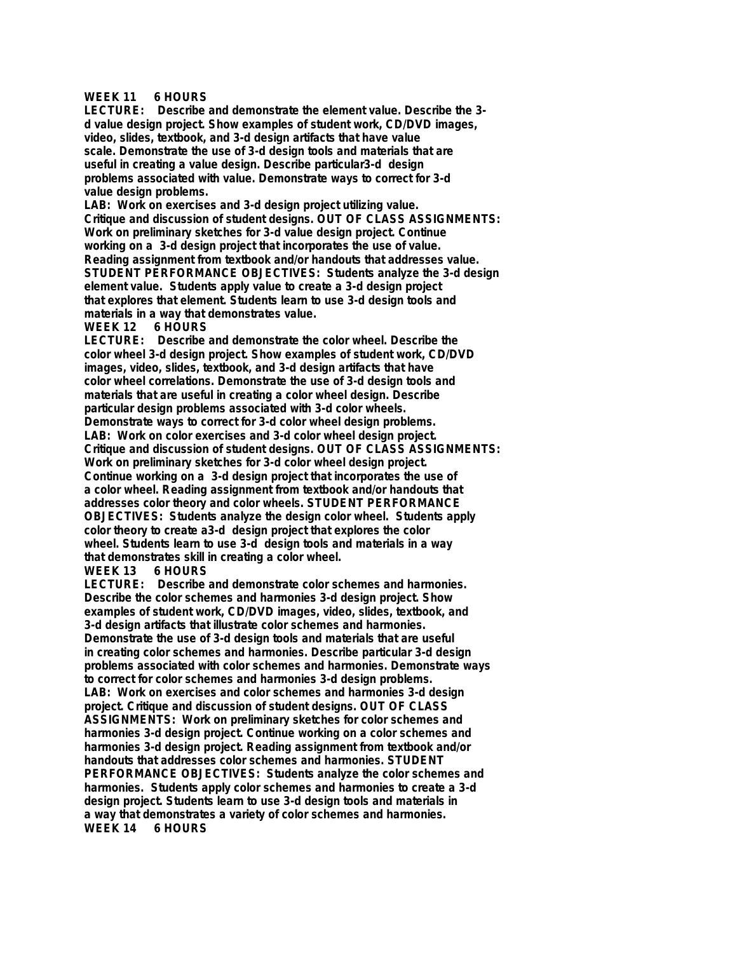### **WEEK 11 6 HOURS**

**LECTURE: Describe and demonstrate the element value. Describe the 3 d value design project. Show examples of student work, CD/DVD images, video, slides, textbook, and 3-d design artifacts that have value scale. Demonstrate the use of 3-d design tools and materials that are useful in creating a value design. Describe particular3-d design problems associated with value. Demonstrate ways to correct for 3-d value design problems.**

**LAB: Work on exercises and 3-d design project utilizing value. Critique and discussion of student designs. OUT OF CLASS ASSIGNMENTS: Work on preliminary sketches for 3-d value design project. Continue working on a 3-d design project that incorporates the use of value. Reading assignment from textbook and/or handouts that addresses value. STUDENT PERFORMANCE OBJECTIVES: Students analyze the 3-d design element value. Students apply value to create a 3-d design project that explores that element. Students learn to use 3-d design tools and materials in a way that demonstrates value.**

#### **WEEK 12 6 HOURS**

**LECTURE: Describe and demonstrate the color wheel. Describe the color wheel 3-d design project. Show examples of student work, CD/DVD images, video, slides, textbook, and 3-d design artifacts that have color wheel correlations. Demonstrate the use of 3-d design tools and materials that are useful in creating a color wheel design. Describe particular design problems associated with 3-d color wheels. Demonstrate ways to correct for 3-d color wheel design problems. LAB: Work on color exercises and 3-d color wheel design project. Critique and discussion of student designs. OUT OF CLASS ASSIGNMENTS: Work on preliminary sketches for 3-d color wheel design project. Continue working on a 3-d design project that incorporates the use of a color wheel. Reading assignment from textbook and/or handouts that addresses color theory and color wheels. STUDENT PERFORMANCE OBJECTIVES: Students analyze the design color wheel. Students apply color theory to create a3-d design project that explores the color wheel. Students learn to use 3-d design tools and materials in a way that demonstrates skill in creating a color wheel.**

# **WEEK 13 6 HOURS**

**LECTURE: Describe and demonstrate color schemes and harmonies. Describe the color schemes and harmonies 3-d design project. Show examples of student work, CD/DVD images, video, slides, textbook, and 3-d design artifacts that illustrate color schemes and harmonies. Demonstrate the use of 3-d design tools and materials that are useful in creating color schemes and harmonies. Describe particular 3-d design problems associated with color schemes and harmonies. Demonstrate ways to correct for color schemes and harmonies 3-d design problems. LAB: Work on exercises and color schemes and harmonies 3-d design project. Critique and discussion of student designs. OUT OF CLASS ASSIGNMENTS: Work on preliminary sketches for color schemes and harmonies 3-d design project. Continue working on a color schemes and harmonies 3-d design project. Reading assignment from textbook and/or handouts that addresses color schemes and harmonies. STUDENT PERFORMANCE OBJECTIVES: Students analyze the color schemes and harmonies. Students apply color schemes and harmonies to create a 3-d design project. Students learn to use 3-d design tools and materials in a way that demonstrates a variety of color schemes and harmonies. WEEK 14 6 HOURS**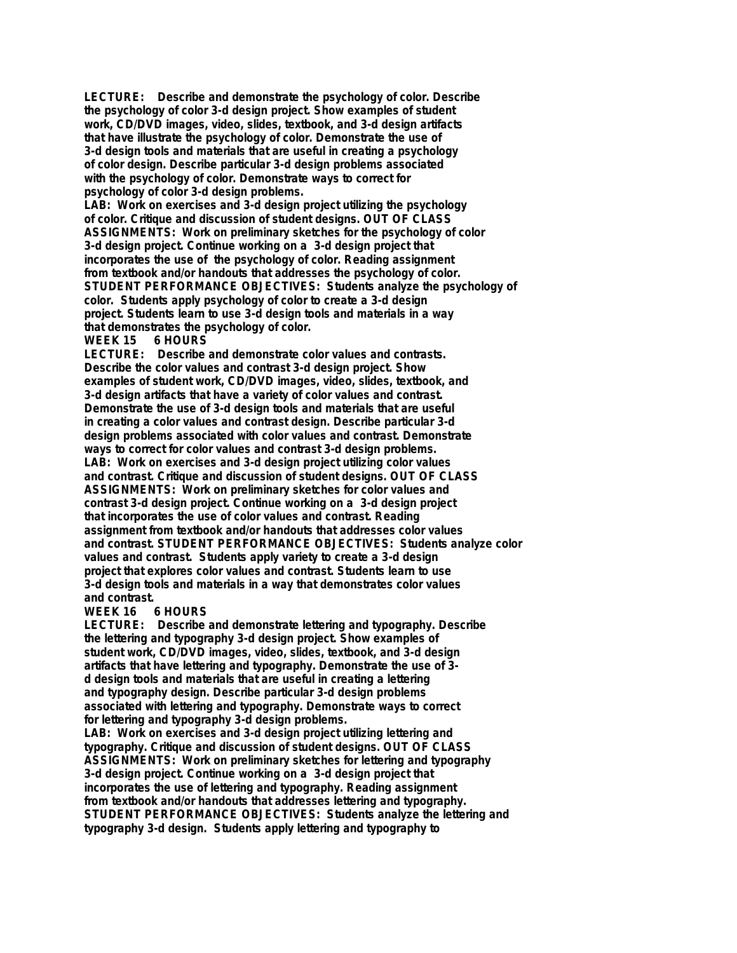**LECTURE: Describe and demonstrate the psychology of color. Describe the psychology of color 3-d design project. Show examples of student work, CD/DVD images, video, slides, textbook, and 3-d design artifacts that have illustrate the psychology of color. Demonstrate the use of 3-d design tools and materials that are useful in creating a psychology of color design. Describe particular 3-d design problems associated with the psychology of color. Demonstrate ways to correct for psychology of color 3-d design problems.**

**LAB: Work on exercises and 3-d design project utilizing the psychology of color. Critique and discussion of student designs. OUT OF CLASS ASSIGNMENTS: Work on preliminary sketches for the psychology of color 3-d design project. Continue working on a 3-d design project that incorporates the use of the psychology of color. Reading assignment from textbook and/or handouts that addresses the psychology of color. STUDENT PERFORMANCE OBJECTIVES: Students analyze the psychology of color. Students apply psychology of color to create a 3-d design project. Students learn to use 3-d design tools and materials in a way that demonstrates the psychology of color.**

#### **WEEK 15 6 HOURS**

**LECTURE: Describe and demonstrate color values and contrasts. Describe the color values and contrast 3-d design project. Show examples of student work, CD/DVD images, video, slides, textbook, and 3-d design artifacts that have a variety of color values and contrast. Demonstrate the use of 3-d design tools and materials that are useful in creating a color values and contrast design. Describe particular 3-d design problems associated with color values and contrast. Demonstrate ways to correct for color values and contrast 3-d design problems. LAB: Work on exercises and 3-d design project utilizing color values and contrast. Critique and discussion of student designs. OUT OF CLASS ASSIGNMENTS: Work on preliminary sketches for color values and contrast 3-d design project. Continue working on a 3-d design project that incorporates the use of color values and contrast. Reading assignment from textbook and/or handouts that addresses color values and contrast. STUDENT PERFORMANCE OBJECTIVES: Students analyze color values and contrast. Students apply variety to create a 3-d design project that explores color values and contrast. Students learn to use 3-d design tools and materials in a way that demonstrates color values** and contrast.<br>WEEK 16

#### **6 HOURS**

**LECTURE: Describe and demonstrate lettering and typography. Describe the lettering and typography 3-d design project. Show examples of student work, CD/DVD images, video, slides, textbook, and 3-d design artifacts that have lettering and typography. Demonstrate the use of 3 d design tools and materials that are useful in creating a lettering and typography design. Describe particular 3-d design problems associated with lettering and typography. Demonstrate ways to correct for lettering and typography 3-d design problems.**

**LAB: Work on exercises and 3-d design project utilizing lettering and typography. Critique and discussion of student designs. OUT OF CLASS ASSIGNMENTS: Work on preliminary sketches for lettering and typography 3-d design project. Continue working on a 3-d design project that incorporates the use of lettering and typography. Reading assignment from textbook and/or handouts that addresses lettering and typography. STUDENT PERFORMANCE OBJECTIVES: Students analyze the lettering and typography 3-d design. Students apply lettering and typography to**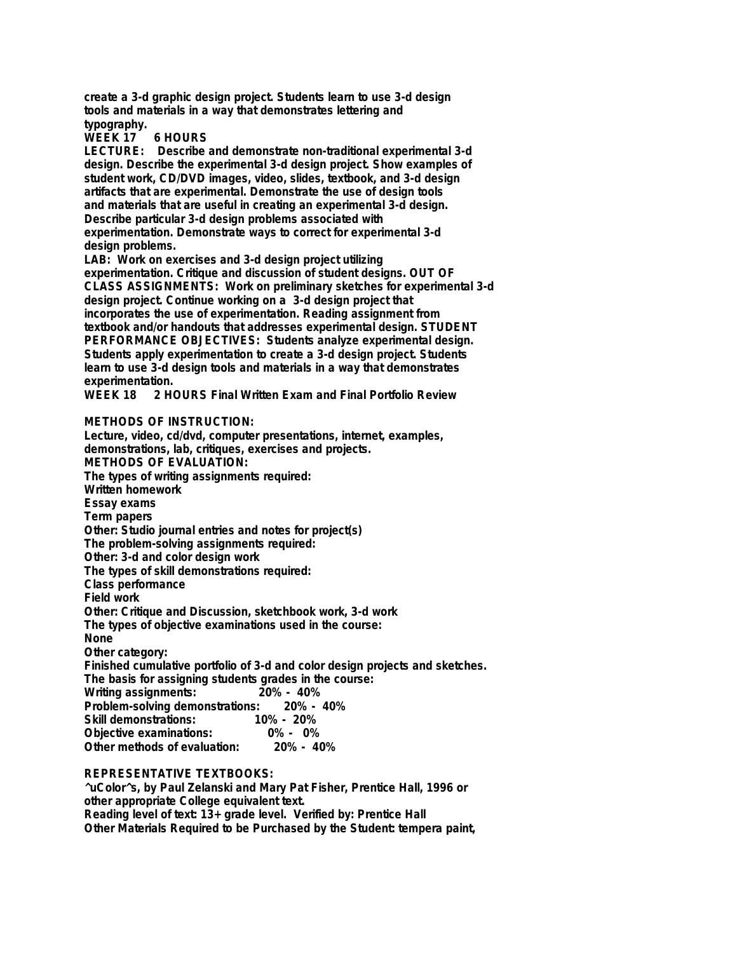**create a 3-d graphic design project. Students learn to use 3-d design tools and materials in a way that demonstrates lettering and typography.**

**WEEK 17 6 HOURS**

**LECTURE: Describe and demonstrate non-traditional experimental 3-d design. Describe the experimental 3-d design project. Show examples of student work, CD/DVD images, video, slides, textbook, and 3-d design artifacts that are experimental. Demonstrate the use of design tools and materials that are useful in creating an experimental 3-d design. Describe particular 3-d design problems associated with experimentation. Demonstrate ways to correct for experimental 3-d design problems.**

**LAB: Work on exercises and 3-d design project utilizing experimentation. Critique and discussion of student designs. OUT OF CLASS ASSIGNMENTS: Work on preliminary sketches for experimental 3-d design project. Continue working on a 3-d design project that incorporates the use of experimentation. Reading assignment from textbook and/or handouts that addresses experimental design. STUDENT PERFORMANCE OBJECTIVES: Students analyze experimental design. Students apply experimentation to create a 3-d design project. Students learn to use 3-d design tools and materials in a way that demonstrates experimentation.**

**WEEK 18 2 HOURS Final Written Exam and Final Portfolio Review**

#### **METHODS OF INSTRUCTION:**

**Lecture, video, cd/dvd, computer presentations, internet, examples, demonstrations, lab, critiques, exercises and projects. METHODS OF EVALUATION: The types of writing assignments required: Written homework Essay exams Term papers Other: Studio journal entries and notes for project(s) The problem-solving assignments required: Other: 3-d and color design work The types of skill demonstrations required: Class performance Field work Other: Critique and Discussion, sketchbook work, 3-d work The types of objective examinations used in the course: None Other category: Finished cumulative portfolio of 3-d and color design projects and sketches. The basis for assigning students grades in the course: Writing assignments: 20% - 40% Problem-solving demonstrations:**<br>Skill demonstrations: 10% **Skill demonstrations: 10% - 20% Objective examinations: 0% - 0% Other methods of evaluation:** 

# **REPRESENTATIVE TEXTBOOKS:**

**^uColor^s, by Paul Zelanski and Mary Pat Fisher, Prentice Hall, 1996 or other appropriate College equivalent text. Reading level of text: 13+ grade level. Verified by: Prentice Hall Other Materials Required to be Purchased by the Student: tempera paint,**